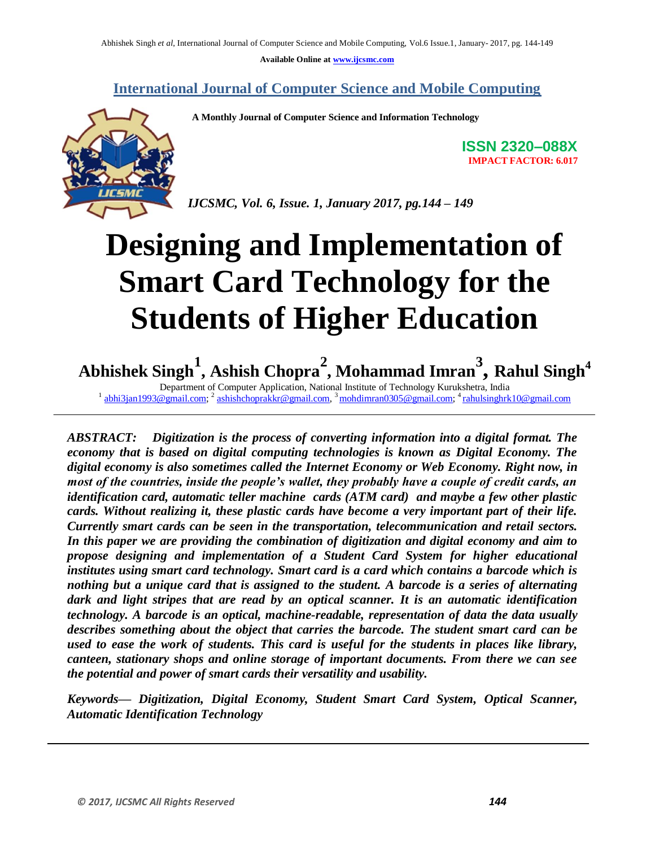**Available Online at www.ijcsmc.com**

**International Journal of Computer Science and Mobile Computing**

 **A Monthly Journal of Computer Science and Information Technology**



**IMPACT FACTOR: 6.017**

**ISSN 2320–088X**

*IJCSMC, Vol. 6, Issue. 1, January 2017, pg.144 – 149*

# **Designing and Implementation of Smart Card Technology for the Students of Higher Education**

**Abhishek Singh<sup>1</sup> , Ashish Chopra<sup>2</sup> , Mohammad Imran<sup>3</sup> , Rahul Singh<sup>4</sup>**

Department of Computer Application, National Institute of Technology Kurukshetra, India <sup>1</sup> abhi3jan1993@gmail.com; <sup>2</sup> ashishchoprakkr@gmail.com, <sup>3</sup> mohdimran0305@gmail.com; <sup>4</sup> rahulsinghrk10@gmail.com

*ABSTRACT: Digitization is the process of converting information into a digital format. The economy that is based on digital computing technologies is known as Digital Economy. The digital economy is also sometimes called the Internet Economy or Web Economy. Right now, in most of the countries, inside the people's wallet, they probably have a couple of credit cards, an identification card, automatic teller machine cards (ATM card) and maybe a few other plastic cards. Without realizing it, these plastic cards have become a very important part of their life. Currently smart cards can be seen in the transportation, telecommunication and retail sectors. In this paper we are providing the combination of digitization and digital economy and aim to propose designing and implementation of a Student Card System for higher educational institutes using smart card technology. Smart card is a card which contains a barcode which is nothing but a unique card that is assigned to the student. A barcode is a series of alternating dark and light stripes that are read by an optical scanner. It is an automatic identification technology. A barcode is an optical, machine-readable, representation of data the data usually describes something about the object that carries the barcode. The student smart card can be used to ease the work of students. This card is useful for the students in places like library, canteen, stationary shops and online storage of important documents. From there we can see the potential and power of smart cards their versatility and usability.*

*Keywords— Digitization, Digital Economy, Student Smart Card System, Optical Scanner, Automatic Identification Technology*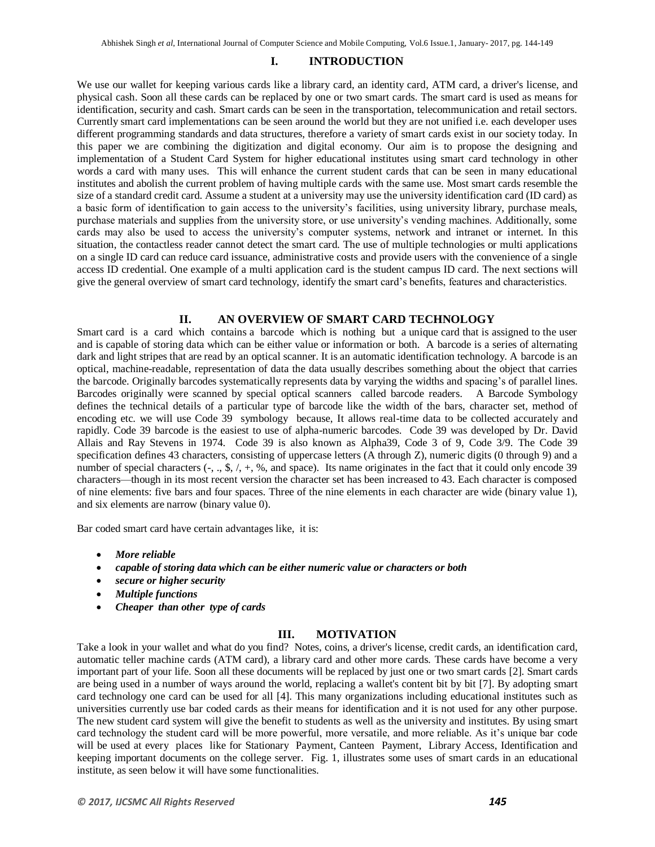## **I. INTRODUCTION**

We use our wallet for keeping various cards like a library card, an identity card, ATM card, a driver's license, and physical cash. Soon all these cards can be replaced by one or two smart cards. The smart card is used as means for identification, security and cash. Smart cards can be seen in the transportation, telecommunication and retail sectors. Currently smart card implementations can be seen around the world but they are not unified i.e. each developer uses different programming standards and data structures, therefore a variety of smart cards exist in our society today. In this paper we are combining the digitization and digital economy. Our aim is to propose the designing and implementation of a Student Card System for higher educational institutes using smart card technology in other words a card with many uses. This will enhance the current student cards that can be seen in many educational institutes and abolish the current problem of having multiple cards with the same use. Most smart cards resemble the size of a standard credit card. Assume a student at a university may use the university identification card (ID card) as a basic form of identification to gain access to the university's facilities, using university library, purchase meals, purchase materials and supplies from the university store, or use university's vending machines. Additionally, some cards may also be used to access the university's computer systems, network and intranet or internet. In this situation, the contactless reader cannot detect the smart card. The use of multiple technologies or multi applications on a single ID card can reduce card issuance, administrative costs and provide users with the convenience of a single access ID credential. One example of a multi application card is the student campus ID card. The next sections will give the general overview of smart card technology, identify the smart card's benefits, features and characteristics.

#### **II. AN OVERVIEW OF SMART CARD TECHNOLOGY**

Smart card is a card which contains a barcode which is nothing but a unique card that is assigned to the user and is capable of storing data which can be either value or information or both. A [barcode](https://en.wikipedia.org/wiki/Barcode) is a series of alternating dark and light stripes that are read by an optical scanner. It is an automatic identification technology. A barcode is an optical, [machine-readable,](https://en.wikipedia.org/wiki/Machine-readable_medium) representation of data the data usually describes something about the object that carries the barcode. Originally barcodes systematically represents data by varying the widths and spacing's of parallel lines. Barcodes originally were scanned by special [optical scanners](https://en.wikipedia.org/wiki/Optical_scanner) called [barcode](https://en.wikipedia.org/wiki/Barcode_reader) readers. A Barcode Symbology defines the technical details of a particular type of barcode like the width of the bars, character set, method of encoding etc. we will use Code 39 symbology because, It allows real-time data to be collected accurately and rapidly. Code 39 barcode is the easiest to use of alpha-numeric barcodes. Code 39 was developed by [Dr. David](https://en.wikipedia.org/wiki/David_Allais)  [Allais](https://en.wikipedia.org/wiki/David_Allais) and Ray Stevens in 1974. Code 39 is also known as Alpha39, Code 3 of 9, Code 3/9. The Code 39 specification defines 43 characters, consisting of uppercase letters (A through Z), numeric digits (0 through 9) and a number of special characters  $(-, ., \mathcal{S}, \ell, +, \mathcal{S}, \mathcal{S})$  and space). Its name originates in the fact that it could only encode 39 characters—though in its most recent version the character set has been increased to 43. Each character is composed of nine elements: five bars and four spaces. Three of the nine elements in each character are wide (binary value 1), and six elements are narrow (binary value 0).

Bar coded smart card have certain advantages like, it is:

- *More reliable*
- *capable of storing data which can be either numeric value or characters or both*
- *secure or higher security*
- *Multiple functions*
- *Cheaper than other type of cards*

#### **III. MOTIVATION**

Take a look in your wallet and what do you find? Notes, coins, a driver's license, credit cards, an identification card, automatic teller machine cards (ATM card), a library card and other more cards. These cards have become a very important part of your life. Soon all these documents will be replaced by just one or two smart cards [2]. Smart cards are being used in a number of ways around the world, replacing a wallet's content bit by bit [7]. By adopting smart card technology one card can be used for all [4]. This many organizations including educational institutes such as universities currently use bar coded cards as their means for identification and it is not used for any other purpose. The new student card system will give the benefit to students as well as the university and institutes. By using smart card technology the student card will be more powerful, more versatile, and more reliable. As it's unique bar code will be used at every places like for Stationary Payment, Canteen Payment, Library Access, Identification and keeping important documents on the college server. Fig. 1, illustrates some uses of smart cards in an educational institute, as seen below it will have some functionalities.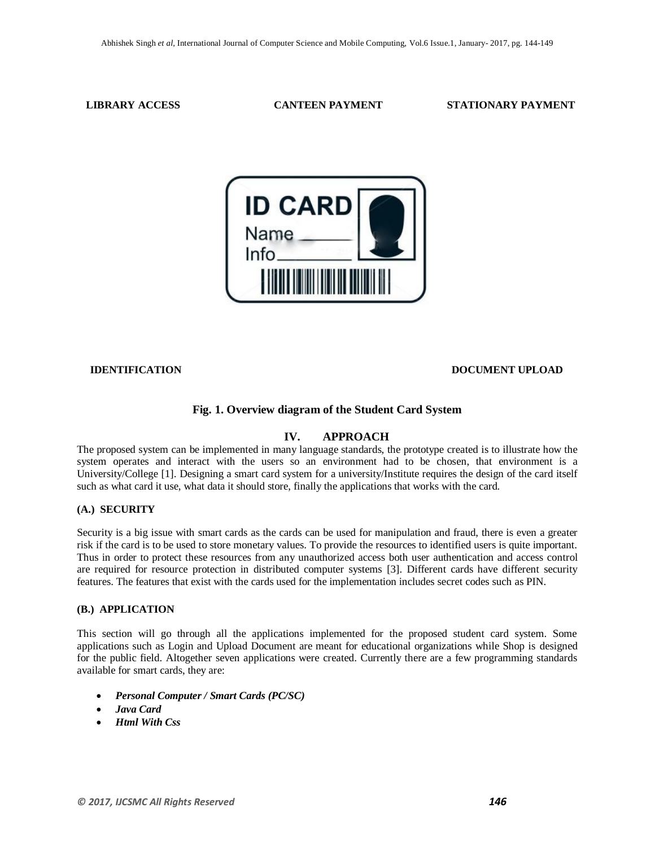#### **LIBRARY ACCESS CANTEEN PAYMENT STATIONARY PAYMENT**



#### **IDENTIFICATION DOCUMENT UPLOAD**

#### **Fig. 1. Overview diagram of the Student Card System**

## **IV. APPROACH**

The proposed system can be implemented in many language standards, the prototype created is to illustrate how the system operates and interact with the users so an environment had to be chosen, that environment is a University/College [1]. Designing a smart card system for a university/Institute requires the design of the card itself such as what card it use, what data it should store, finally the applications that works with the card.

#### **(A.) SECURITY**

Security is a big issue with smart cards as the cards can be used for manipulation and fraud, there is even a greater risk if the card is to be used to store monetary values. To provide the resources to identified users is quite important. Thus in order to protect these resources from any unauthorized access both user authentication and access control are required for resource protection in distributed computer systems [3]. Different cards have different security features. The features that exist with the cards used for the implementation includes secret codes such as PIN.

#### **(B.) APPLICATION**

This section will go through all the applications implemented for the proposed student card system. Some applications such as Login and Upload Document are meant for educational organizations while Shop is designed for the public field. Altogether seven applications were created. Currently there are a few programming standards available for smart cards, they are:

- *Personal Computer / Smart Cards (PC/SC)*
- *Java Card*
- *Html With Css*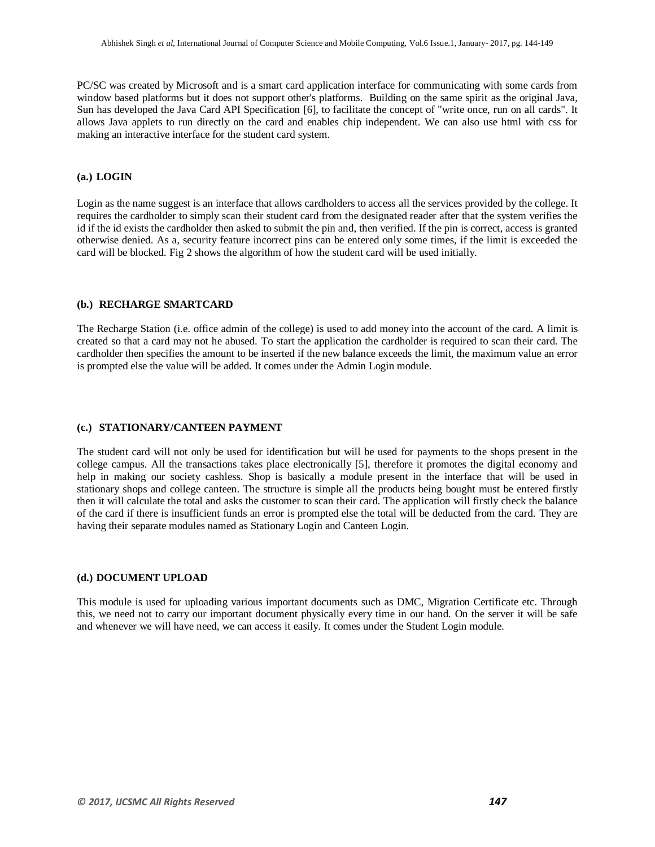PC/SC was created by Microsoft and is a smart card application interface for communicating with some cards from window based platforms but it does not support other's platforms. Building on the same spirit as the original Java, Sun has developed the Java Card API Specification [6], to facilitate the concept of "write once, run on all cards". It allows Java applets to run directly on the card and enables chip independent. We can also use html with css for making an interactive interface for the student card system.

#### **(a.) LOGIN**

Login as the name suggest is an interface that allows cardholders to access all the services provided by the college. It requires the cardholder to simply scan their student card from the designated reader after that the system verifies the id if the id exists the cardholder then asked to submit the pin and, then verified. If the pin is correct, access is granted otherwise denied. As a, security feature incorrect pins can be entered only some times, if the limit is exceeded the card will be blocked. Fig 2 shows the algorithm of how the student card will be used initially.

#### **(b.) RECHARGE SMARTCARD**

The Recharge Station (i.e. office admin of the college) is used to add money into the account of the card. A limit is created so that a card may not he abused. To start the application the cardholder is required to scan their card. The cardholder then specifies the amount to be inserted if the new balance exceeds the limit, the maximum value an error is prompted else the value will be added. It comes under the Admin Login module.

#### **(c.) STATIONARY/CANTEEN PAYMENT**

The student card will not only be used for identification but will be used for payments to the shops present in the college campus. All the transactions takes place electronically [5], therefore it promotes the digital economy and help in making our society cashless. Shop is basically a module present in the interface that will be used in stationary shops and college canteen. The structure is simple all the products being bought must be entered firstly then it will calculate the total and asks the customer to scan their card. The application will firstly check the balance of the card if there is insufficient funds an error is prompted else the total will be deducted from the card. They are having their separate modules named as Stationary Login and Canteen Login.

#### **(d.) DOCUMENT UPLOAD**

This module is used for uploading various important documents such as DMC, Migration Certificate etc. Through this, we need not to carry our important document physically every time in our hand. On the server it will be safe and whenever we will have need, we can access it easily. It comes under the Student Login module.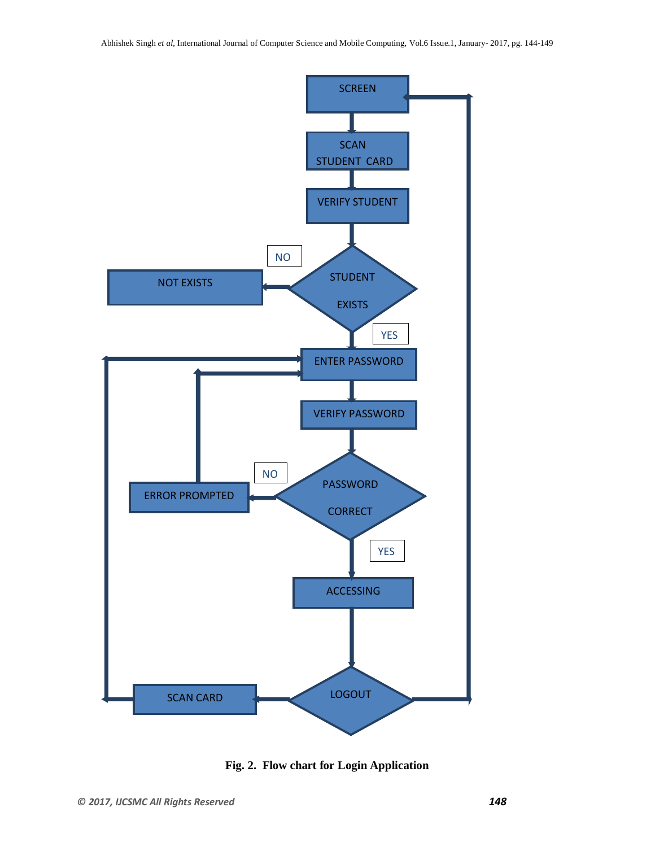

**Fig. 2. Flow chart for Login Application**